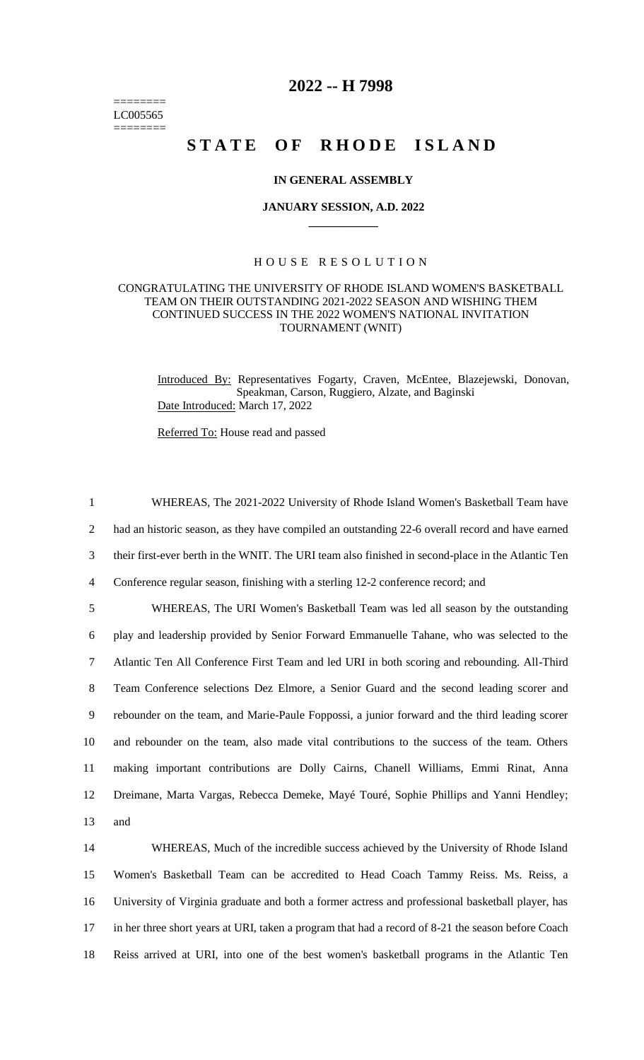======== LC005565 ========

# **2022 -- H 7998**

# STATE OF RHODE ISLAND

### **IN GENERAL ASSEMBLY**

#### **JANUARY SESSION, A.D. 2022 \_\_\_\_\_\_\_\_\_\_\_\_**

# H O U S E R E S O L U T I O N

# CONGRATULATING THE UNIVERSITY OF RHODE ISLAND WOMEN'S BASKETBALL TEAM ON THEIR OUTSTANDING 2021-2022 SEASON AND WISHING THEM CONTINUED SUCCESS IN THE 2022 WOMEN'S NATIONAL INVITATION TOURNAMENT (WNIT)

Introduced By: Representatives Fogarty, Craven, McEntee, Blazejewski, Donovan, Speakman, Carson, Ruggiero, Alzate, and Baginski Date Introduced: March 17, 2022

Referred To: House read and passed

 WHEREAS, The 2021-2022 University of Rhode Island Women's Basketball Team have had an historic season, as they have compiled an outstanding 22-6 overall record and have earned their first-ever berth in the WNIT. The URI team also finished in second-place in the Atlantic Ten Conference regular season, finishing with a sterling 12-2 conference record; and WHEREAS, The URI Women's Basketball Team was led all season by the outstanding play and leadership provided by Senior Forward Emmanuelle Tahane, who was selected to the Atlantic Ten All Conference First Team and led URI in both scoring and rebounding. All-Third Team Conference selections Dez Elmore, a Senior Guard and the second leading scorer and rebounder on the team, and Marie-Paule Foppossi, a junior forward and the third leading scorer and rebounder on the team, also made vital contributions to the success of the team. Others making important contributions are Dolly Cairns, Chanell Williams, Emmi Rinat, Anna Dreimane, Marta Vargas, Rebecca Demeke, Mayé Touré, Sophie Phillips and Yanni Hendley; 13 and

 WHEREAS, Much of the incredible success achieved by the University of Rhode Island Women's Basketball Team can be accredited to Head Coach Tammy Reiss. Ms. Reiss, a University of Virginia graduate and both a former actress and professional basketball player, has in her three short years at URI, taken a program that had a record of 8-21 the season before Coach Reiss arrived at URI, into one of the best women's basketball programs in the Atlantic Ten